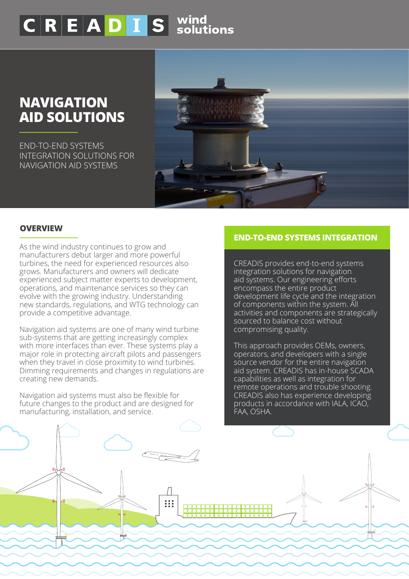# $\overline{\mathsf{C}\,\mathsf{R}\,\mathsf{E}\,\mathsf{A}\,\mathsf{D}\,\mathsf{I}\,\mathsf{S}}$  solutions

## **NAVIGATION AID SOLUTIONS**

END-TO-END SYSTEMS INTEGRATION SOLUTIONS FOR NAVIGATION AID SYSTEMS



#### **OVERVIEW**

As the wind industry continues to grow and manufacturers debut larger and more powerful turbines, the need for experienced resources also grows. Manufacturers and owners will dedicate experienced subject matter experts to development, operations, and maintenance services so they can evolve with the growing industry. Understanding new standards, regulations, and WTG technology can provide a competitive advantage.

Navigation aid systems are one of many wind turbine sub-systems that are getting increasingly complex with more interfaces than ever. These systems play a major role in protecting aircraft pilots and passengers when they travel in close proximity to wind turbines. Dimming requirements and changes in regulations are creating new demands.

Navigation aid systems must also be flexible for future changes to the product and are designed for manufacturing, installation, and service.

#### **END-TO-END SYSTEMS INTEGRATION**

CREADIS provides end-to-end systems integration solutions for navigation aid systems. Our engineering efforts encompass the entire product development life cycle and the integration of components within the system. All activities and components are strategically sourced to balance cost without compromising quality.

This approach provides OEMs, owners, operators, and developers with a single source vendor for the entire navigation aid system. CREADIS has in-house SCADA capabilities as well as integration for remote operations and trouble shooting. CREADIS also has experience developing products in accordance with IALA, ICAO, FAA, OSHA.

**FEATURES**